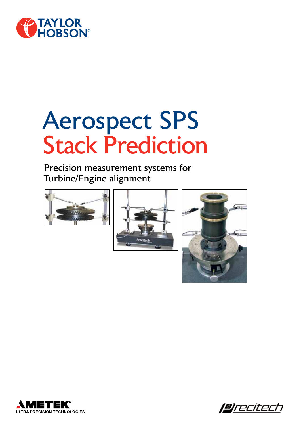

# Aerospect SPS Stack Prediction

### Precision measurement systems for Turbine/Engine alignment









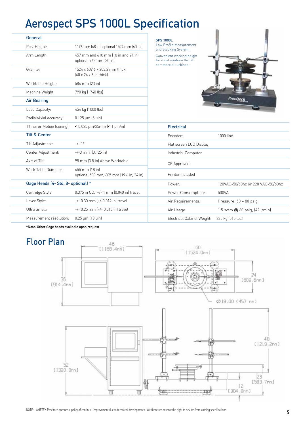## Aerospect SPS 1000L Specification

| General                  |                                    |                                                                     | <b>SPS 1000L</b>                                                            |                                   |
|--------------------------|------------------------------------|---------------------------------------------------------------------|-----------------------------------------------------------------------------|-----------------------------------|
| Post Height:             |                                    | 1196 mm (48 in) optional 1524 mm (60 in)                            | Low Profile Measurement<br>and Stacking System.                             |                                   |
| Arm Length:              |                                    | 457 mm and 610 mm (18 in and 24 in)<br>optional 762 mm (30 in)      | Convenient working height<br>for most medium thrust<br>commercial turbines. |                                   |
| Granite:                 |                                    | 1524 x 609.6 x 203.2 mm thick<br>$[60 \times 24 \times 8]$ in thick |                                                                             |                                   |
| Worktable Height:        |                                    | 584 mm (23 in)                                                      |                                                                             |                                   |
| Machine Weight:          |                                    | 790 kg (1740 lbs)                                                   |                                                                             |                                   |
| <b>Air Bearing</b>       |                                    |                                                                     |                                                                             | <b>Tecile</b>                     |
| Load Capacity:           |                                    | 454 kg (1000 lbs)                                                   |                                                                             |                                   |
| Radial/Axial accuracy:   |                                    | $0.125 \,\mathrm{\upmu m}$ (5 $\,\mathrm{\upmu in}$ )               |                                                                             |                                   |
|                          | Tilt Error Motion (coning):        | $< 0.025$ µm/25mm $(< 1$ µin/in]                                    | <b>Electrical</b>                                                           |                                   |
| <b>Tilt &amp; Center</b> |                                    |                                                                     | Encoder:                                                                    | 1000 line                         |
| Tilt Adjustment:         |                                    | $+/- 1^{\circ}$                                                     | Flat screen LCD Display                                                     |                                   |
| Center Adjustment:       |                                    | $+/-3$ mm $[0.125$ in                                               | Industrial Computer                                                         |                                   |
| Axis of Tilt:            |                                    | 95 mm (3.8 in) Above Worktable                                      | CE Approved                                                                 |                                   |
| Work Table Diameter:     |                                    | 455 mm (18 in)<br>optional 500 mm, 605 mm (19.6 in, 24 in)          | Printer included                                                            |                                   |
|                          | Gage Heads (4- Std, 8- optional) * |                                                                     | Power:                                                                      | 120VAC-50/60hz or 220 VAC-50/60hz |
| Cartridge Style:         |                                    | $0.375$ in OD, +/- 1 mm $[0.040$ in] travel                         | Power Consumption:                                                          | 500VA                             |
| Lever Style:             |                                    | +/- 0.30 mm (+/-0.012 in) travel                                    | Air Requirements:                                                           | Pressure: 50 - 80 psig            |
| Ultra Small:             |                                    | $+/-$ 0.25 mm $[+/ - 0.010$ in travel                               | Air Usage:                                                                  | 1.5 scfm @ 60 psig, (42 l/min)    |
|                          | Measurement resolution:            | $0.25 \,\mathrm{\upmu m}$ (10 $\,\mathrm{\upmu in}$ )               | Electrical Cabinet Weight:                                                  | 235 kg (515 lbs)                  |

\*Note: Other Gage heads available upon request